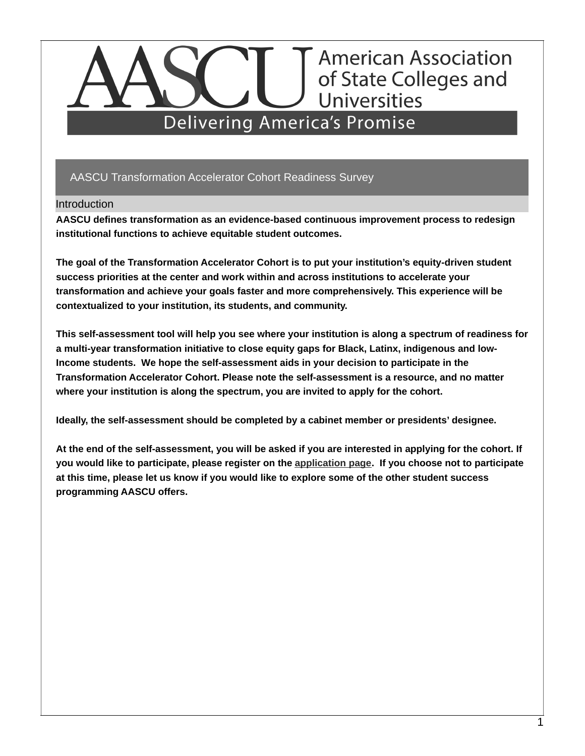# AASCU Transformation Accelerator Cohort Readiness Survey

## **Introduction**

**AASCU defines transformation as an evidence-based continuous improvement process to redesign institutional functions to achieve equitable student outcomes.**

**The goal of the Transformation Accelerator Cohort is to put your institution's equity-driven student success priorities at the center and work within and across institutions to accelerate your transformation and achieve your goals faster and more comprehensively. This experience will be contextualized to your institution, its students, and community.**

**This self-assessment tool will help you see where your institution is along a spectrum of readiness for a multi-year transformation initiative to close equity gaps for Black, Latinx, indigenous and low-Income students. We hope the self-assessment aids in your decision to participate in the Transformation Accelerator Cohort. Please note the self-assessment is a resource, and no matter where your institution is along the spectrum, you are invited to apply for the cohort.**

**Ideally, the self-assessment should be completed by a cabinet member or presidents' designee.**

At the end of the self-assessment, you will be asked if you are interested in applying for the cohort. If **you would like to participate, please register on the [application](https://gfpsc.org/aascu/) page. If you choose not to participate** at this time, please let us know if you would like to explore some of the other student success **programming AASCU offers.**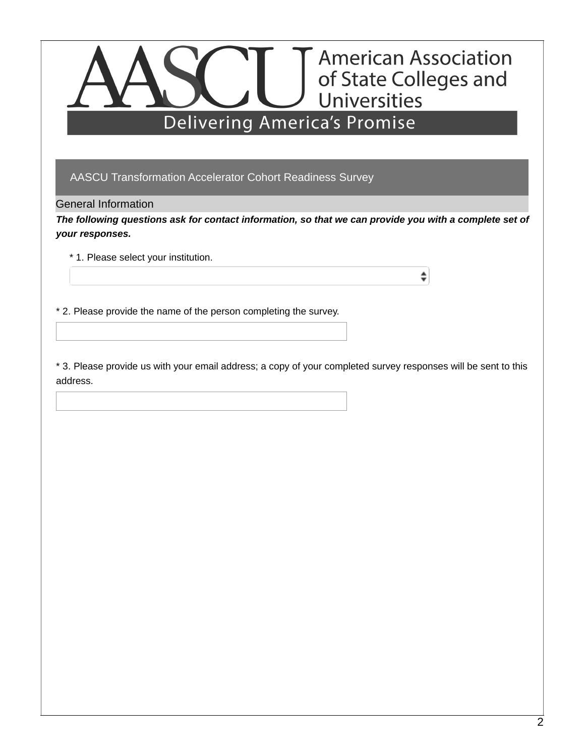AASCU Transformation Accelerator Cohort Readiness Survey

General Information

The following questions ask for contact information, so that we can provide you with a complete set of *your responses.*

÷

\* 1. Please select your institution.

\* 2. Please provide the name of the person completing the survey.

\* 3. Please provide us with your email address; a copy of your completed survey responses will be sent to this address.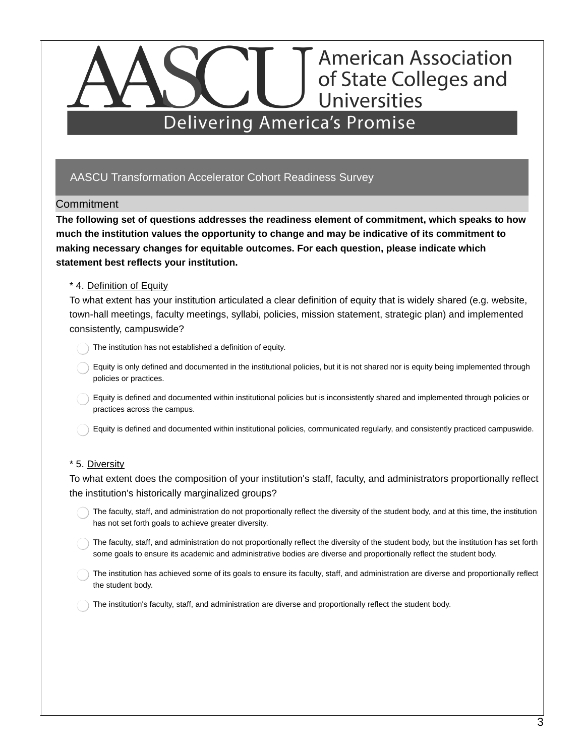# AASCU Transformation Accelerator Cohort Readiness Survey

## Commitment

**The following set of questions addresses the readiness element of commitment, which speaks to how much the institution values the opportunity to change and may be indicative of its commitment to making necessary changes for equitable outcomes. For each question, please indicate which statement best reflects your institution.**

## \* 4. Definition of Equity

To what extent has your institution articulated a clear definition of equity that is widely shared (e.g. website, town-hall meetings, faculty meetings, syllabi, policies, mission statement, strategic plan) and implemented consistently, campuswide?

The institution has not established a definition of equity.

- Equity is only defined and documented in the institutional policies, but it is not shared nor is equity being implemented through policies or practices.
- Equity is defined and documented within institutional policies but is inconsistently shared and implemented through policies or practices across the campus.
- Equity is defined and documented within institutional policies, communicated regularly, and consistently practiced campuswide.

### \* 5. Diversity

To what extent does the composition of your institution's staff, faculty, and administrators proportionally reflect the institution's historically marginalized groups?

- The faculty, staff, and administration do not proportionally reflect the diversity of the student body, and at this time, the institution has not set forth goals to achieve greater diversity.
- The faculty, staff, and administration do not proportionally reflect the diversity of the student body, but the institution has set forth some goals to ensure its academic and administrative bodies are diverse and proportionally reflect the student body.
- The institution has achieved some of its goals to ensure its faculty, staff, and administration are diverse and proportionally reflect the student body.
- The institution's faculty, staff, and administration are diverse and proportionally reflect the student body.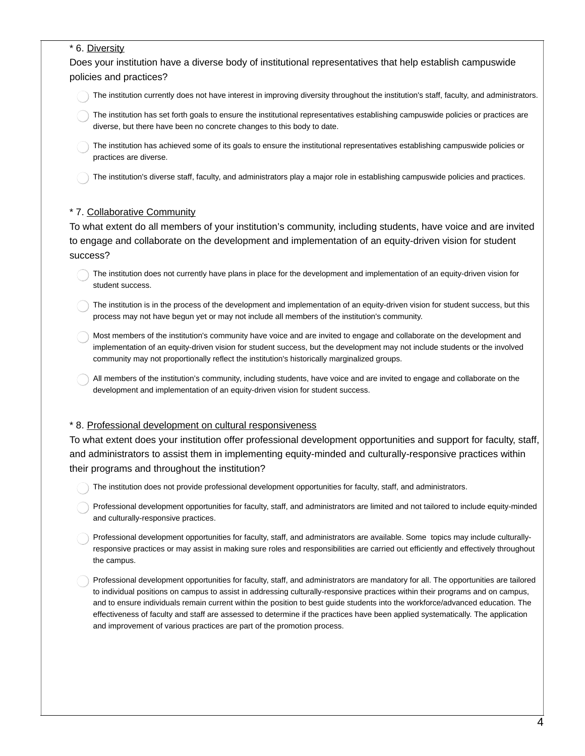### \* 6. Diversity

Does your institution have a diverse body of institutional representatives that help establish campuswide policies and practices?

The institution currently does not have interest in improving diversity throughout the institution's staff, faculty, and administrators.

- The institution has set forth goals to ensure the institutional representatives establishing campuswide policies or practices are diverse, but there have been no concrete changes to this body to date.
- The institution has achieved some of its goals to ensure the institutional representatives establishing campuswide policies or practices are diverse.

The institution's diverse staff, faculty, and administrators play a major role in establishing campuswide policies and practices.

### \* 7. Collaborative Community

To what extent do all members of your institution's community, including students, have voice and are invited to engage and collaborate on the development and implementation of an equity-driven vision for student success?

- The institution does not currently have plans in place for the development and implementation of an equity-driven vision for student success.
- The institution is in the process of the development and implementation of an equity-driven vision for student success, but this process may not have begun yet or may not include all members of the institution's community.
- Most members of the institution's community have voice and are invited to engage and collaborate on the development and implementation of an equity-driven vision for student success, but the development may not include students or the involved community may not proportionally reflect the institution's historically marginalized groups.
- All members of the institution's community, including students, have voice and are invited to engage and collaborate on the development and implementation of an equity-driven vision for student success.

### \* 8. Professional development on cultural responsiveness

To what extent does your institution offer professional development opportunities and support for faculty, staff, and administrators to assist them in implementing equity-minded and culturally-responsive practices within their programs and throughout the institution?

- The institution does not provide professional development opportunities for faculty, staff, and administrators.
- Professional development opportunities for faculty, staff, and administrators are limited and not tailored to include equity-minded and culturally-responsive practices.
- Professional development opportunities for faculty, staff, and administrators are available. Some topics may include culturallyresponsive practices or may assist in making sure roles and responsibilities are carried out efficiently and effectively throughout the campus.
- Professional development opportunities for faculty, staff, and administrators are mandatory for all. The opportunities are tailored to individual positions on campus to assist in addressing culturally-responsive practices within their programs and on campus, and to ensure individuals remain current within the position to best guide students into the workforce/advanced education. The effectiveness of faculty and staff are assessed to determine if the practices have been applied systematically. The application and improvement of various practices are part of the promotion process.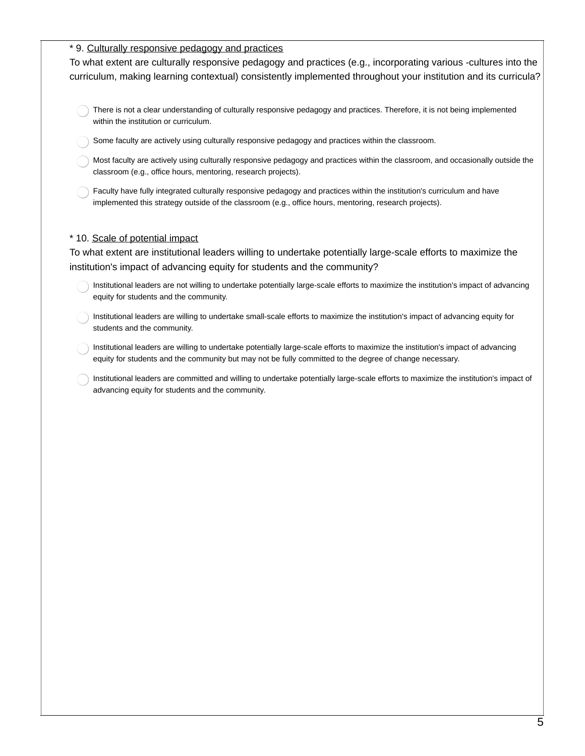### \* 9. Culturally responsive pedagogy and practices

To what extent are culturally responsive pedagogy and practices (e.g., incorporating various -cultures into the curriculum, making learning contextual) consistently implemented throughout your institution and its curricula?

- There is not a clear understanding of culturally responsive pedagogy and practices. Therefore, it is not being implemented within the institution or curriculum.
- Some faculty are actively using culturally responsive pedagogy and practices within the classroom.
- Most faculty are actively using culturally responsive pedagogy and practices within the classroom, and occasionally outside the classroom (e.g., office hours, mentoring, research projects).
- Faculty have fully integrated culturally responsive pedagogy and practices within the institution's curriculum and have implemented this strategy outside of the classroom (e.g., office hours, mentoring, research projects).

#### \* 10. Scale of potential impact

To what extent are institutional leaders willing to undertake potentially large-scale efforts to maximize the institution's impact of advancing equity for students and the community?

- Institutional leaders are not willing to undertake potentially large-scale efforts to maximize the institution's impact of advancing equity for students and the community.
- Institutional leaders are willing to undertake small-scale efforts to maximize the institution's impact of advancing equity for students and the community.
- Institutional leaders are willing to undertake potentially large-scale efforts to maximize the institution's impact of advancing equity for students and the community but may not be fully committed to the degree of change necessary.
- Institutional leaders are committed and willing to undertake potentially large-scale efforts to maximize the institution's impact of advancing equity for students and the community.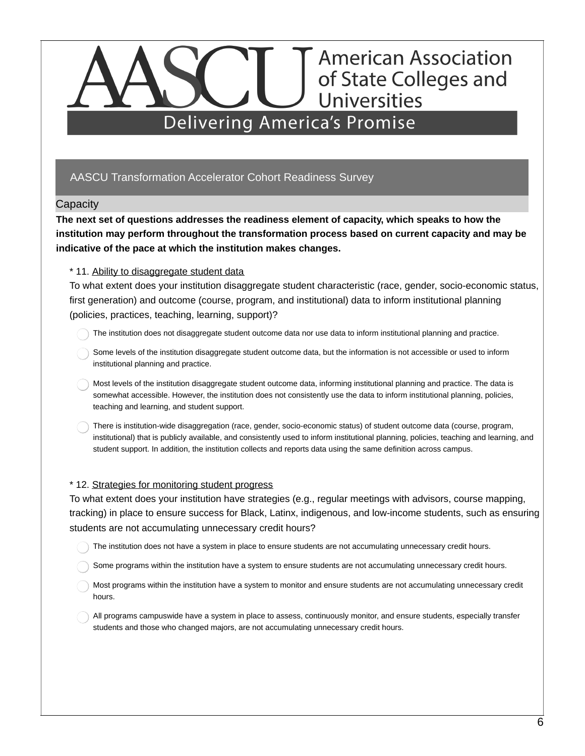# AASCU Transformation Accelerator Cohort Readiness Survey

### **Capacity**

**The next set of questions addresses the readiness element of capacity, which speaks to how the institution may perform throughout the transformation process based on current capacity and may be indicative of the pace at which the institution makes changes.**

### \* 11. Ability to disaggregate student data

To what extent does your institution disaggregate student characteristic (race, gender, socio-economic status, first generation) and outcome (course, program, and institutional) data to inform institutional planning (policies, practices, teaching, learning, support)?

- The institution does not disaggregate student outcome data nor use data to inform institutional planning and practice.
- Some levels of the institution disaggregate student outcome data, but the information is not accessible or used to inform institutional planning and practice.
- Most levels of the institution disaggregate student outcome data, informing institutional planning and practice. The data is somewhat accessible. However, the institution does not consistently use the data to inform institutional planning, policies, teaching and learning, and student support.
- There is institution-wide disaggregation (race, gender, socio-economic status) of student outcome data (course, program, institutional) that is publicly available, and consistently used to inform institutional planning, policies, teaching and learning, and student support. In addition, the institution collects and reports data using the same definition across campus.

### \* 12. Strategies for monitoring student progress

To what extent does your institution have strategies (e.g., regular meetings with advisors, course mapping, tracking) in place to ensure success for Black, Latinx, indigenous, and low-income students, such as ensuring students are not accumulating unnecessary credit hours?

- The institution does not have a system in place to ensure students are not accumulating unnecessary credit hours.
- Some programs within the institution have a system to ensure students are not accumulating unnecessary credit hours.
- Most programs within the institution have a system to monitor and ensure students are not accumulating unnecessary credit hours.
- All programs campuswide have a system in place to assess, continuously monitor, and ensure students, especially transfer students and those who changed majors, are not accumulating unnecessary credit hours.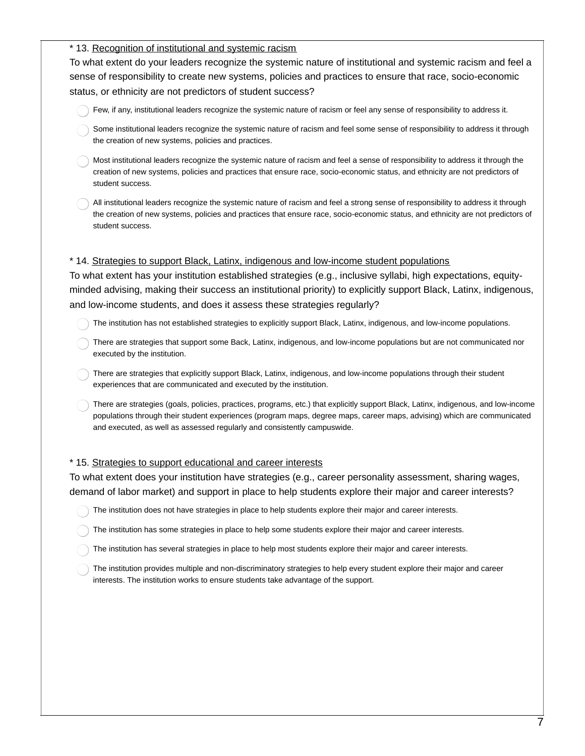### \* 13. Recognition of institutional and systemic racism

To what extent do your leaders recognize the systemic nature of institutional and systemic racism and feel a sense of responsibility to create new systems, policies and practices to ensure that race, socio-economic status, or ethnicity are not predictors of student success?

- Few, if any, institutional leaders recognize the systemic nature of racism or feel any sense of responsibility to address it.
- Some institutional leaders recognize the systemic nature of racism and feel some sense of responsibility to address it through the creation of new systems, policies and practices.
- Most institutional leaders recognize the systemic nature of racism and feel a sense of responsibility to address it through the creation of new systems, policies and practices that ensure race, socio-economic status, and ethnicity are not predictors of student success.
- All institutional leaders recognize the systemic nature of racism and feel a strong sense of responsibility to address it through the creation of new systems, policies and practices that ensure race, socio-economic status, and ethnicity are not predictors of student success.

### \* 14. Strategies to support Black, Latinx, indigenous and low-income student populations

To what extent has your institution established strategies (e.g., inclusive syllabi, high expectations, equityminded advising, making their success an institutional priority) to explicitly support Black, Latinx, indigenous, and low-income students, and does it assess these strategies regularly?

- The institution has not established strategies to explicitly support Black, Latinx, indigenous, and low-income populations.
- There are strategies that support some Back, Latinx, indigenous, and low-income populations but are not communicated nor executed by the institution.
- There are strategies that explicitly support Black, Latinx, indigenous, and low-income populations through their student experiences that are communicated and executed by the institution.
- There are strategies (goals, policies, practices, programs, etc.) that explicitly support Black, Latinx, indigenous, and low-income populations through their student experiences (program maps, degree maps, career maps, advising) which are communicated and executed, as well as assessed regularly and consistently campuswide.

### \* 15. Strategies to support educational and career interests

To what extent does your institution have strategies (e.g., career personality assessment, sharing wages, demand of labor market) and support in place to help students explore their major and career interests?

- The institution does not have strategies in place to help students explore their major and career interests.
- The institution has some strategies in place to help some students explore their major and career interests.
- The institution has several strategies in place to help most students explore their major and career interests.
- The institution provides multiple and non-discriminatory strategies to help every student explore their major and career interests. The institution works to ensure students take advantage of the support.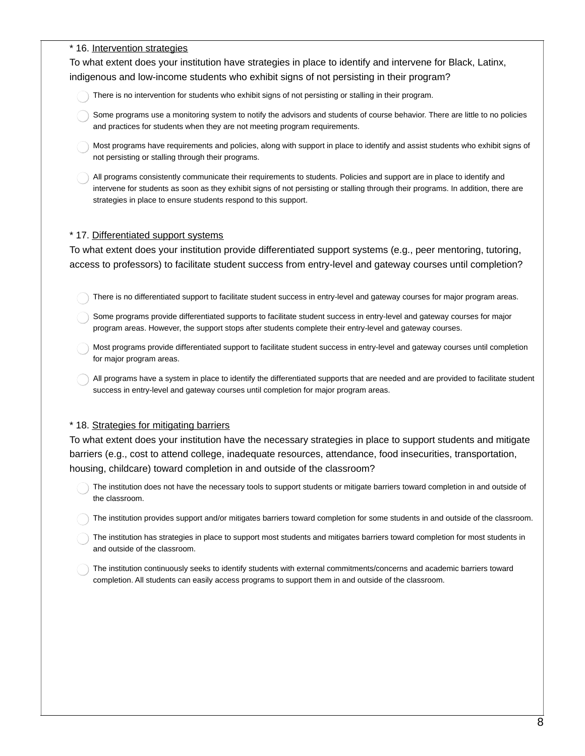#### \* 16. Intervention strategies

To what extent does your institution have strategies in place to identify and intervene for Black, Latinx, indigenous and low-income students who exhibit signs of not persisting in their program?

- There is no intervention for students who exhibit signs of not persisting or stalling in their program.
- Some programs use a monitoring system to notify the advisors and students of course behavior. There are little to no policies and practices for students when they are not meeting program requirements.
- Most programs have requirements and policies, along with support in place to identify and assist students who exhibit signs of not persisting or stalling through their programs.
- All programs consistently communicate their requirements to students. Policies and support are in place to identify and intervene for students as soon as they exhibit signs of not persisting or stalling through their programs. In addition, there are strategies in place to ensure students respond to this support.

### \* 17. Differentiated support systems

To what extent does your institution provide differentiated support systems (e.g., peer mentoring, tutoring, access to professors) to facilitate student success from entry-level and gateway courses until completion?

- There is no differentiated support to facilitate student success in entry-level and gateway courses for major program areas.
- Some programs provide differentiated supports to facilitate student success in entry-level and gateway courses for major program areas. However, the support stops after students complete their entry-level and gateway courses.
- Most programs provide differentiated support to facilitate student success in entry-level and gateway courses until completion for major program areas.
- All programs have a system in place to identify the differentiated supports that are needed and are provided to facilitate student success in entry-level and gateway courses until completion for major program areas.

#### \* 18. Strategies for mitigating barriers

To what extent does your institution have the necessary strategies in place to support students and mitigate barriers (e.g., cost to attend college, inadequate resources, attendance, food insecurities, transportation, housing, childcare) toward completion in and outside of the classroom?

- The institution does not have the necessary tools to support students or mitigate barriers toward completion in and outside of the classroom.
- The institution provides support and/or mitigates barriers toward completion for some students in and outside of the classroom.
- The institution has strategies in place to support most students and mitigates barriers toward completion for most students in and outside of the classroom.
- The institution continuously seeks to identify students with external commitments/concerns and academic barriers toward completion. All students can easily access programs to support them in and outside of the classroom.